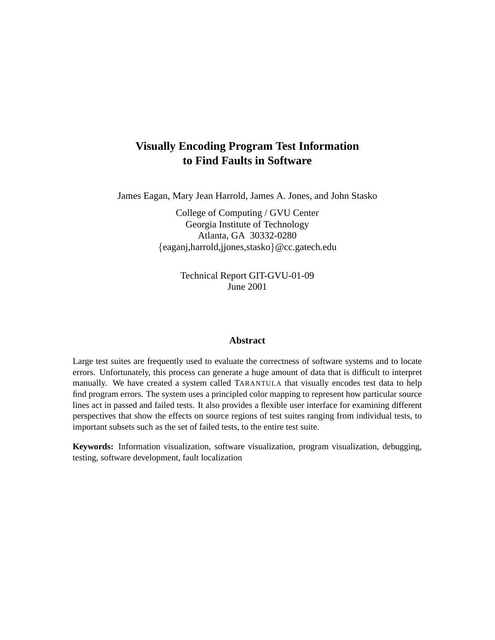# **Visually Encoding Program Test Information to Find Faults in Software**

James Eagan, Mary Jean Harrold, James A. Jones, and John Stasko

College of Computing / GVU Center Georgia Institute of Technology Atlanta, GA 30332-0280 {eaganj,harrold,jjones,stasko}@cc.gatech.edu

> Technical Report GIT-GVU-01-09 June 2001

### **Abstract**

Large test suites are frequently used to evaluate the correctness of software systems and to locate errors. Unfortunately, this process can generate a huge amount of data that is difficult to interpret manually. We have created a system called TARANTULA that visually encodes test data to help find program errors. The system uses a principled color mapping to represent how particular source lines act in passed and failed tests. It also provides a flexible user interface for examining different perspectives that show the effects on source regions of test suites ranging from individual tests, to important subsets such as the set of failed tests, to the entire test suite.

**Keywords:** Information visualization, software visualization, program visualization, debugging, testing, software development, fault localization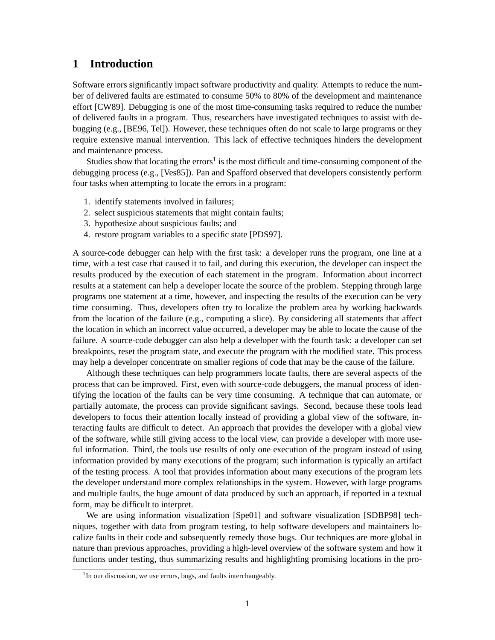## **1 Introduction**

Software errors significantly impact software productivity and quality. Attempts to reduce the number of delivered faults are estimated to consume 50% to 80% of the development and maintenance effort [CW89]. Debugging is one of the most time-consuming tasks required to reduce the number of delivered faults in a program. Thus, researchers have investigated techniques to assist with debugging (e.g., [BE96, Tel]). However, these techniques often do not scale to large programs or they require extensive manual intervention. This lack of effective techniques hinders the development and maintenance process.

Studies show that locating the errors<sup>1</sup> is the most difficult and time-consuming component of the debugging process (e.g., [Ves85]). Pan and Spafford observed that developers consistently perform four tasks when attempting to locate the errors in a program:

- 1. identify statements involved in failures;
- 2. select suspicious statements that might contain faults;
- 3. hypothesize about suspicious faults; and
- 4. restore program variables to a specific state [PDS97].

A source-code debugger can help with the first task: a developer runs the program, one line at a time, with a test case that caused it to fail, and during this execution, the developer can inspect the results produced by the execution of each statement in the program. Information about incorrect results at a statement can help a developer locate the source of the problem. Stepping through large programs one statement at a time, however, and inspecting the results of the execution can be very time consuming. Thus, developers often try to localize the problem area by working backwards from the location of the failure (e.g., computing a slice). By considering all statements that affect the location in which an incorrect value occurred, a developer may be able to locate the cause of the failure. A source-code debugger can also help a developer with the fourth task: a developer can set breakpoints, reset the program state, and execute the program with the modified state. This process may help a developer concentrate on smaller regions of code that may be the cause of the failure.

Although these techniques can help programmers locate faults, there are several aspects of the process that can be improved. First, even with source-code debuggers, the manual process of identifying the location of the faults can be very time consuming. A technique that can automate, or partially automate, the process can provide significant savings. Second, because these tools lead developers to focus their attention locally instead of providing a global view of the software, interacting faults are difficult to detect. An approach that provides the developer with a global view of the software, while still giving access to the local view, can provide a developer with more useful information. Third, the tools use results of only one execution of the program instead of using information provided by many executions of the program; such information is typically an artifact of the testing process. A tool that provides information about many executions of the program lets the developer understand more complex relationships in the system. However, with large programs and multiple faults, the huge amount of data produced by such an approach, if reported in a textual form, may be difficult to interpret.

We are using information visualization [Spe01] and software visualization [SDBP98] techniques, together with data from program testing, to help software developers and maintainers localize faults in their code and subsequently remedy those bugs. Our techniques are more global in nature than previous approaches, providing a high-level overview of the software system and how it functions under testing, thus summarizing results and highlighting promising locations in the pro-

<sup>&</sup>lt;sup>1</sup>In our discussion, we use errors, bugs, and faults interchangeably.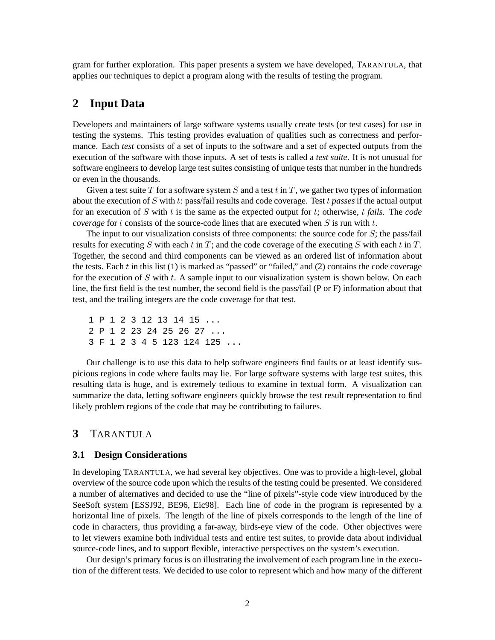gram for further exploration. This paper presents a system we have developed, TARANTULA, that applies our techniques to depict a program along with the results of testing the program.

## **2 Input Data**

Developers and maintainers of large software systems usually create tests (or test cases) for use in testing the systems. This testing provides evaluation of qualities such as correctness and performance. Each *test* consists of a set of inputs to the software and a set of expected outputs from the execution of the software with those inputs. A set of tests is called a *test suite*. It is not unusual for software engineers to develop large test suites consisting of unique tests that number in the hundreds or even in the thousands.

Given a test suite T for a software system S and a test t in T, we gather two types of information about the execution of S with t: pass/fail results and code coverage. Test t *passes* if the actual output for an execution of S with t is the same as the expected output for t; otherwise, t *fails*. The *code coverage* for t consists of the source-code lines that are executed when  $S$  is run with  $t$ .

The input to our visualization consists of three components: the source code for  $S$ ; the pass/fail results for executing S with each t in T; and the code coverage of the executing S with each t in T. Together, the second and third components can be viewed as an ordered list of information about the tests. Each  $t$  in this list (1) is marked as "passed" or "failed," and (2) contains the code coverage for the execution of  $S$  with  $t$ . A sample input to our visualization system is shown below. On each line, the first field is the test number, the second field is the pass/fail (P or F) information about that test, and the trailing integers are the code coverage for that test.

1 P 1 2 3 12 13 14 15 ... 2 P 1 2 23 24 25 26 27 ... 3 F 1 2 3 4 5 123 124 125 ...

Our challenge is to use this data to help software engineers find faults or at least identify suspicious regions in code where faults may lie. For large software systems with large test suites, this resulting data is huge, and is extremely tedious to examine in textual form. A visualization can summarize the data, letting software engineers quickly browse the test result representation to find likely problem regions of the code that may be contributing to failures.

### **3** TARANTULA

### **3.1 Design Considerations**

In developing TARANTULA, we had several key objectives. One was to provide a high-level, global overview of the source code upon which the results of the testing could be presented. We considered a number of alternatives and decided to use the "line of pixels"-style code view introduced by the SeeSoft system [ESSJ92, BE96, Eic98]. Each line of code in the program is represented by a horizontal line of pixels. The length of the line of pixels corresponds to the length of the line of code in characters, thus providing a far-away, birds-eye view of the code. Other objectives were to let viewers examine both individual tests and entire test suites, to provide data about individual source-code lines, and to support flexible, interactive perspectives on the system's execution.

Our design's primary focus is on illustrating the involvement of each program line in the execution of the different tests. We decided to use color to represent which and how many of the different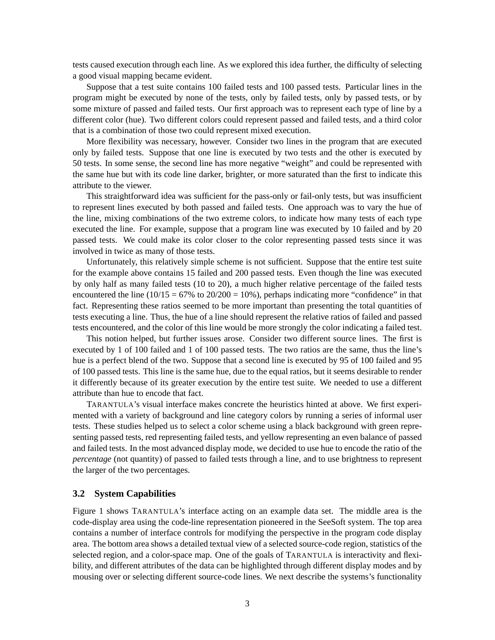tests caused execution through each line. As we explored this idea further, the difficulty of selecting a good visual mapping became evident.

Suppose that a test suite contains 100 failed tests and 100 passed tests. Particular lines in the program might be executed by none of the tests, only by failed tests, only by passed tests, or by some mixture of passed and failed tests. Our first approach was to represent each type of line by a different color (hue). Two different colors could represent passed and failed tests, and a third color that is a combination of those two could represent mixed execution.

More flexibility was necessary, however. Consider two lines in the program that are executed only by failed tests. Suppose that one line is executed by two tests and the other is executed by 50 tests. In some sense, the second line has more negative "weight" and could be represented with the same hue but with its code line darker, brighter, or more saturated than the first to indicate this attribute to the viewer.

This straightforward idea was sufficient for the pass-only or fail-only tests, but was insufficient to represent lines executed by both passed and failed tests. One approach was to vary the hue of the line, mixing combinations of the two extreme colors, to indicate how many tests of each type executed the line. For example, suppose that a program line was executed by 10 failed and by 20 passed tests. We could make its color closer to the color representing passed tests since it was involved in twice as many of those tests.

Unfortunately, this relatively simple scheme is not sufficient. Suppose that the entire test suite for the example above contains 15 failed and 200 passed tests. Even though the line was executed by only half as many failed tests (10 to 20), a much higher relative percentage of the failed tests encountered the line  $(10/15 = 67\%$  to  $20/200 = 10\%$ ), perhaps indicating more "confidence" in that fact. Representing these ratios seemed to be more important than presenting the total quantities of tests executing a line. Thus, the hue of a line should represent the relative ratios of failed and passed tests encountered, and the color of this line would be more strongly the color indicating a failed test.

This notion helped, but further issues arose. Consider two different source lines. The first is executed by 1 of 100 failed and 1 of 100 passed tests. The two ratios are the same, thus the line's hue is a perfect blend of the two. Suppose that a second line is executed by 95 of 100 failed and 95 of 100 passed tests. This line is the same hue, due to the equal ratios, but it seems desirable to render it differently because of its greater execution by the entire test suite. We needed to use a different attribute than hue to encode that fact.

TARANTULA's visual interface makes concrete the heuristics hinted at above. We first experimented with a variety of background and line category colors by running a series of informal user tests. These studies helped us to select a color scheme using a black background with green representing passed tests, red representing failed tests, and yellow representing an even balance of passed and failed tests. In the most advanced display mode, we decided to use hue to encode the ratio of the *percentage* (not quantity) of passed to failed tests through a line, and to use brightness to represent the larger of the two percentages.

#### **3.2 System Capabilities**

Figure 1 shows TARANTULA's interface acting on an example data set. The middle area is the code-display area using the code-line representation pioneered in the SeeSoft system. The top area contains a number of interface controls for modifying the perspective in the program code display area. The bottom area shows a detailed textual view of a selected source-code region, statistics of the selected region, and a color-space map. One of the goals of TARANTULA is interactivity and flexibility, and different attributes of the data can be highlighted through different display modes and by mousing over or selecting different source-code lines. We next describe the systems's functionality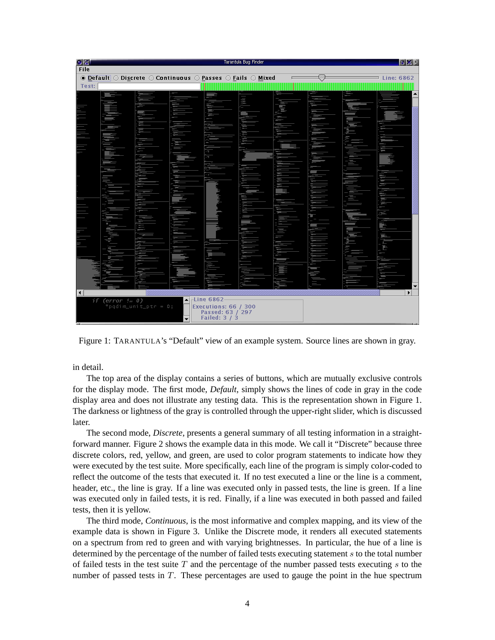| $\frac{1}{2}$<br>Tarantula Bug Finder<br>6K                                          |  |  |   |  |  |  |  |  |   |
|--------------------------------------------------------------------------------------|--|--|---|--|--|--|--|--|---|
| File                                                                                 |  |  |   |  |  |  |  |  |   |
| <b>© Default</b> ○ Discrete ○ Continuous ○ Passes ○ Fails ○ Mixed<br>Line: 6862<br>ँ |  |  |   |  |  |  |  |  |   |
| Test:                                                                                |  |  |   |  |  |  |  |  |   |
|                                                                                      |  |  |   |  |  |  |  |  |   |
|                                                                                      |  |  |   |  |  |  |  |  |   |
|                                                                                      |  |  |   |  |  |  |  |  |   |
|                                                                                      |  |  |   |  |  |  |  |  |   |
|                                                                                      |  |  |   |  |  |  |  |  |   |
|                                                                                      |  |  |   |  |  |  |  |  |   |
|                                                                                      |  |  |   |  |  |  |  |  |   |
|                                                                                      |  |  |   |  |  |  |  |  |   |
|                                                                                      |  |  |   |  |  |  |  |  |   |
|                                                                                      |  |  |   |  |  |  |  |  |   |
|                                                                                      |  |  |   |  |  |  |  |  |   |
|                                                                                      |  |  |   |  |  |  |  |  |   |
|                                                                                      |  |  |   |  |  |  |  |  |   |
|                                                                                      |  |  |   |  |  |  |  |  |   |
|                                                                                      |  |  |   |  |  |  |  |  |   |
|                                                                                      |  |  |   |  |  |  |  |  |   |
|                                                                                      |  |  |   |  |  |  |  |  |   |
|                                                                                      |  |  |   |  |  |  |  |  |   |
|                                                                                      |  |  |   |  |  |  |  |  |   |
|                                                                                      |  |  |   |  |  |  |  |  |   |
|                                                                                      |  |  |   |  |  |  |  |  |   |
|                                                                                      |  |  |   |  |  |  |  |  | F |
|                                                                                      |  |  |   |  |  |  |  |  |   |
|                                                                                      |  |  |   |  |  |  |  |  |   |
|                                                                                      |  |  |   |  |  |  |  |  |   |
|                                                                                      |  |  |   |  |  |  |  |  |   |
|                                                                                      |  |  |   |  |  |  |  |  | ▼ |
| $\blacktriangleleft$<br>×                                                            |  |  |   |  |  |  |  |  |   |
| -Line $6862-$<br>$if (error := 0)$<br>$\blacktriangle$                               |  |  |   |  |  |  |  |  |   |
| "pqdim_unit_ptr = 0;<br>Executions: 66 / 300<br>Passed: 63 / 297<br>Failed: 3 / 3    |  |  |   |  |  |  |  |  |   |
|                                                                                      |  |  | ÷ |  |  |  |  |  |   |
|                                                                                      |  |  |   |  |  |  |  |  |   |

Figure 1: TARANTULA's "Default" view of an example system. Source lines are shown in gray.

in detail.

The top area of the display contains a series of buttons, which are mutually exclusive controls for the display mode. The first mode, *Default*, simply shows the lines of code in gray in the code display area and does not illustrate any testing data. This is the representation shown in Figure 1. The darkness or lightness of the gray is controlled through the upper-right slider, which is discussed later.

The second mode, *Discrete*, presents a general summary of all testing information in a straightforward manner. Figure 2 shows the example data in this mode. We call it "Discrete" because three discrete colors, red, yellow, and green, are used to color program statements to indicate how they were executed by the test suite. More specifically, each line of the program is simply color-coded to reflect the outcome of the tests that executed it. If no test executed a line or the line is a comment, header, etc., the line is gray. If a line was executed only in passed tests, the line is green. If a line was executed only in failed tests, it is red. Finally, if a line was executed in both passed and failed tests, then it is yellow.

The third mode, *Continuous*, is the most informative and complex mapping, and its view of the example data is shown in Figure 3. Unlike the Discrete mode, it renders all executed statements on a spectrum from red to green and with varying brightnesses. In particular, the hue of a line is determined by the percentage of the number of failed tests executing statement s to the total number of failed tests in the test suite  $T$  and the percentage of the number passed tests executing  $s$  to the number of passed tests in  $T$ . These percentages are used to gauge the point in the hue spectrum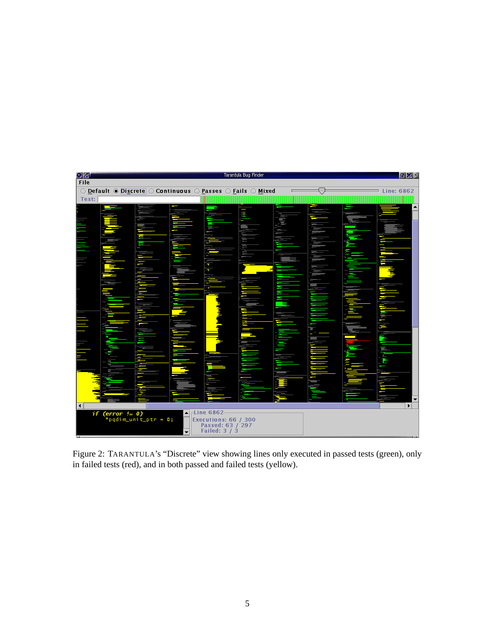| $\bullet$ $\mathbb{Z}$<br>Tarantula Bug Finder<br>4 X D                                                                                           |  |  |  |  |  |  |  |  |                       |
|---------------------------------------------------------------------------------------------------------------------------------------------------|--|--|--|--|--|--|--|--|-----------------------|
| File                                                                                                                                              |  |  |  |  |  |  |  |  |                       |
| ○ Default © Discrete ○ Continuous ○ Passes ○ Fails ○ Mixed<br>Line: 6862<br>್ರ                                                                    |  |  |  |  |  |  |  |  |                       |
| Test:                                                                                                                                             |  |  |  |  |  |  |  |  |                       |
|                                                                                                                                                   |  |  |  |  |  |  |  |  |                       |
|                                                                                                                                                   |  |  |  |  |  |  |  |  |                       |
|                                                                                                                                                   |  |  |  |  |  |  |  |  |                       |
| Ξ                                                                                                                                                 |  |  |  |  |  |  |  |  |                       |
|                                                                                                                                                   |  |  |  |  |  |  |  |  |                       |
| ▋                                                                                                                                                 |  |  |  |  |  |  |  |  |                       |
|                                                                                                                                                   |  |  |  |  |  |  |  |  |                       |
|                                                                                                                                                   |  |  |  |  |  |  |  |  |                       |
|                                                                                                                                                   |  |  |  |  |  |  |  |  |                       |
|                                                                                                                                                   |  |  |  |  |  |  |  |  |                       |
|                                                                                                                                                   |  |  |  |  |  |  |  |  |                       |
|                                                                                                                                                   |  |  |  |  |  |  |  |  |                       |
|                                                                                                                                                   |  |  |  |  |  |  |  |  |                       |
|                                                                                                                                                   |  |  |  |  |  |  |  |  |                       |
|                                                                                                                                                   |  |  |  |  |  |  |  |  |                       |
|                                                                                                                                                   |  |  |  |  |  |  |  |  |                       |
|                                                                                                                                                   |  |  |  |  |  |  |  |  |                       |
|                                                                                                                                                   |  |  |  |  |  |  |  |  |                       |
|                                                                                                                                                   |  |  |  |  |  |  |  |  |                       |
|                                                                                                                                                   |  |  |  |  |  |  |  |  |                       |
|                                                                                                                                                   |  |  |  |  |  |  |  |  |                       |
|                                                                                                                                                   |  |  |  |  |  |  |  |  |                       |
|                                                                                                                                                   |  |  |  |  |  |  |  |  |                       |
|                                                                                                                                                   |  |  |  |  |  |  |  |  |                       |
|                                                                                                                                                   |  |  |  |  |  |  |  |  | ▼                     |
| $\blacktriangleleft$                                                                                                                              |  |  |  |  |  |  |  |  | $\blacktriangleright$ |
| $-Line$ 6862-<br>$\begin{array}{rl} if & \textbf{(error} & \textbf{!= } 0) \\ & \texttt{``pqdim\_unit\_ptr = 0;} \end{array}$<br>$\blacktriangle$ |  |  |  |  |  |  |  |  |                       |
| Executions: 66 / 300<br>Passed: 63 / 297<br>Failed: 3 / 3                                                                                         |  |  |  |  |  |  |  |  |                       |
|                                                                                                                                                   |  |  |  |  |  |  |  |  |                       |
|                                                                                                                                                   |  |  |  |  |  |  |  |  |                       |

Figure 2: TARANTULA's "Discrete" view showing lines only executed in passed tests (green), only in failed tests (red), and in both passed and failed tests (yellow).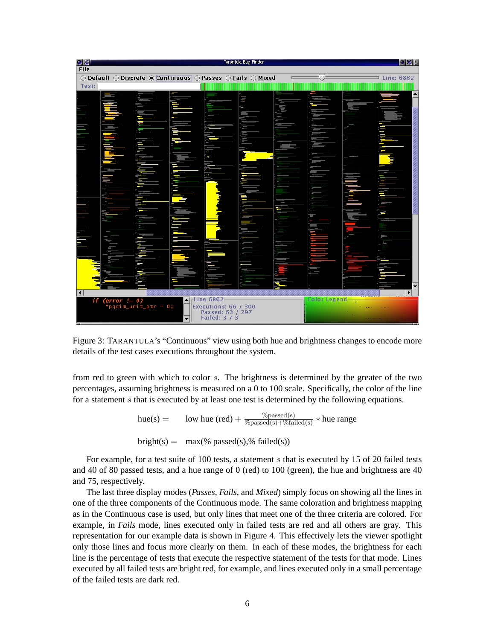| 이저<br>Tarantula Bug Finder<br>$6 \times D$                                     |  |  |                  |               |        |  |                     |  |                       |
|--------------------------------------------------------------------------------|--|--|------------------|---------------|--------|--|---------------------|--|-----------------------|
| File                                                                           |  |  |                  |               |        |  |                     |  |                       |
| ○ Default ○ Discrete ● Continuous ○ Passes ○ Fails ○ Mixed<br>Line: 6862<br>8  |  |  |                  |               |        |  |                     |  |                       |
| Test:                                                                          |  |  |                  |               |        |  |                     |  |                       |
|                                                                                |  |  |                  |               |        |  |                     |  |                       |
|                                                                                |  |  |                  |               | l ilil |  |                     |  |                       |
|                                                                                |  |  |                  |               |        |  |                     |  |                       |
|                                                                                |  |  |                  |               |        |  |                     |  |                       |
|                                                                                |  |  |                  |               |        |  |                     |  |                       |
|                                                                                |  |  |                  |               |        |  |                     |  |                       |
|                                                                                |  |  |                  |               |        |  |                     |  |                       |
|                                                                                |  |  |                  |               |        |  |                     |  |                       |
|                                                                                |  |  |                  |               |        |  |                     |  |                       |
|                                                                                |  |  |                  |               |        |  |                     |  |                       |
|                                                                                |  |  |                  |               |        |  |                     |  |                       |
|                                                                                |  |  |                  |               |        |  |                     |  |                       |
|                                                                                |  |  |                  |               |        |  |                     |  |                       |
|                                                                                |  |  |                  |               |        |  |                     |  |                       |
|                                                                                |  |  |                  |               |        |  |                     |  |                       |
|                                                                                |  |  |                  |               |        |  |                     |  |                       |
|                                                                                |  |  |                  |               |        |  |                     |  |                       |
|                                                                                |  |  |                  |               |        |  |                     |  |                       |
|                                                                                |  |  |                  |               |        |  |                     |  |                       |
|                                                                                |  |  |                  |               |        |  |                     |  |                       |
|                                                                                |  |  |                  |               |        |  |                     |  | J                     |
|                                                                                |  |  |                  |               |        |  |                     |  |                       |
|                                                                                |  |  |                  |               |        |  |                     |  |                       |
|                                                                                |  |  |                  |               |        |  |                     |  |                       |
|                                                                                |  |  |                  |               |        |  |                     |  |                       |
|                                                                                |  |  |                  |               |        |  |                     |  |                       |
|                                                                                |  |  |                  |               |        |  |                     |  |                       |
| $\blacktriangleleft$                                                           |  |  |                  |               |        |  |                     |  | $\blacktriangleright$ |
|                                                                                |  |  | $\blacktriangle$ | -Line $6862-$ |        |  | <b>Color Legend</b> |  |                       |
| $\begin{array}{rl} if & (error & != 0) \\ "pqdim\_unit\_ptr = 0); \end{array}$ |  |  |                  |               |        |  |                     |  |                       |
| Executions: 66 / 300<br>Passed: 63 / 297<br>Failed: 3 / 3<br>٠                 |  |  |                  |               |        |  |                     |  |                       |
|                                                                                |  |  |                  |               |        |  |                     |  |                       |

Figure 3: TARANTULA's "Continuous" view using both hue and brightness changes to encode more details of the test cases executions throughout the system.

from red to green with which to color s. The brightness is determined by the greater of the two percentages, assuming brightness is measured on a 0 to 100 scale. Specifically, the color of the line for a statement s that is executed by at least one test is determined by the following equations.

hue(s) = low hue (red) + 
$$
\frac{\%
$$
passed(s)}{\% passed(s) + % failed(s) \* hue range  
bright(s) = max(% passed(s),% failed(s))

For example, for a test suite of 100 tests, a statement s that is executed by 15 of 20 failed tests and 40 of 80 passed tests, and a hue range of 0 (red) to 100 (green), the hue and brightness are 40 and 75, respectively.

The last three display modes (*Passes*, *Fails*, and *Mixed*) simply focus on showing all the lines in one of the three components of the Continuous mode. The same coloration and brightness mapping as in the Continuous case is used, but only lines that meet one of the three criteria are colored. For example, in *Fails* mode, lines executed only in failed tests are red and all others are gray. This representation for our example data is shown in Figure 4. This effectively lets the viewer spotlight only those lines and focus more clearly on them. In each of these modes, the brightness for each line is the percentage of tests that execute the respective statement of the tests for that mode. Lines executed by all failed tests are bright red, for example, and lines executed only in a small percentage of the failed tests are dark red.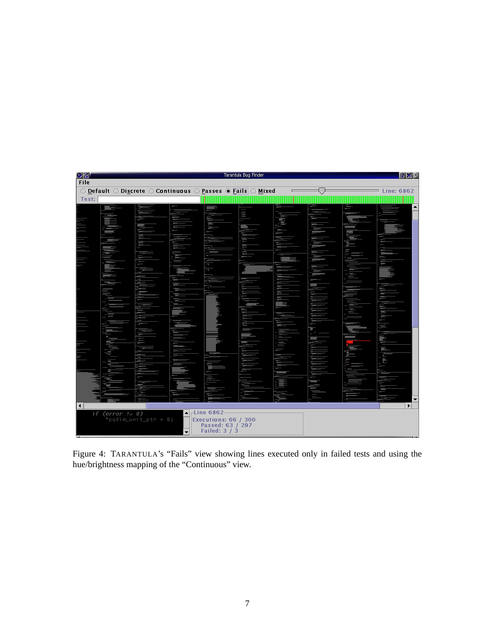| $\bullet$ $\Xi$<br>Tarantula Bug Finder<br>◆ス♪                                  |                                                                                      |  |  |  |  |  |  |  |                          |  |
|---------------------------------------------------------------------------------|--------------------------------------------------------------------------------------|--|--|--|--|--|--|--|--------------------------|--|
| File                                                                            |                                                                                      |  |  |  |  |  |  |  |                          |  |
| ○ Default ○ Discrete ○ Continuous ○ Passes ● Fails ○ Mixed<br>Line: 6862<br>99, |                                                                                      |  |  |  |  |  |  |  |                          |  |
| Test:                                                                           |                                                                                      |  |  |  |  |  |  |  |                          |  |
|                                                                                 |                                                                                      |  |  |  |  |  |  |  |                          |  |
|                                                                                 |                                                                                      |  |  |  |  |  |  |  |                          |  |
|                                                                                 |                                                                                      |  |  |  |  |  |  |  |                          |  |
|                                                                                 |                                                                                      |  |  |  |  |  |  |  |                          |  |
|                                                                                 |                                                                                      |  |  |  |  |  |  |  |                          |  |
|                                                                                 |                                                                                      |  |  |  |  |  |  |  |                          |  |
|                                                                                 |                                                                                      |  |  |  |  |  |  |  |                          |  |
|                                                                                 |                                                                                      |  |  |  |  |  |  |  |                          |  |
|                                                                                 |                                                                                      |  |  |  |  |  |  |  |                          |  |
|                                                                                 |                                                                                      |  |  |  |  |  |  |  |                          |  |
|                                                                                 |                                                                                      |  |  |  |  |  |  |  |                          |  |
|                                                                                 |                                                                                      |  |  |  |  |  |  |  |                          |  |
|                                                                                 |                                                                                      |  |  |  |  |  |  |  |                          |  |
|                                                                                 |                                                                                      |  |  |  |  |  |  |  |                          |  |
|                                                                                 |                                                                                      |  |  |  |  |  |  |  |                          |  |
|                                                                                 |                                                                                      |  |  |  |  |  |  |  |                          |  |
|                                                                                 |                                                                                      |  |  |  |  |  |  |  |                          |  |
|                                                                                 |                                                                                      |  |  |  |  |  |  |  |                          |  |
|                                                                                 |                                                                                      |  |  |  |  |  |  |  |                          |  |
|                                                                                 |                                                                                      |  |  |  |  |  |  |  |                          |  |
|                                                                                 |                                                                                      |  |  |  |  |  |  |  |                          |  |
|                                                                                 |                                                                                      |  |  |  |  |  |  |  | 亡                        |  |
|                                                                                 |                                                                                      |  |  |  |  |  |  |  |                          |  |
|                                                                                 |                                                                                      |  |  |  |  |  |  |  |                          |  |
|                                                                                 |                                                                                      |  |  |  |  |  |  |  |                          |  |
|                                                                                 |                                                                                      |  |  |  |  |  |  |  |                          |  |
|                                                                                 |                                                                                      |  |  |  |  |  |  |  |                          |  |
|                                                                                 |                                                                                      |  |  |  |  |  |  |  |                          |  |
|                                                                                 |                                                                                      |  |  |  |  |  |  |  | $\overline{\phantom{a}}$ |  |
| $\blacktriangleleft$                                                            |                                                                                      |  |  |  |  |  |  |  | $\blacktriangleright$    |  |
| $-Line$ 6862-<br>$if (error := 0)$<br>$\left  \right $                          |                                                                                      |  |  |  |  |  |  |  |                          |  |
|                                                                                 | $"$ pqdim_unit_ptr = 0;<br>Executions: 66 / 300<br>Passed: 63 / 297<br>Failed: 3 / 3 |  |  |  |  |  |  |  |                          |  |
|                                                                                 |                                                                                      |  |  |  |  |  |  |  |                          |  |
|                                                                                 |                                                                                      |  |  |  |  |  |  |  |                          |  |

Figure 4: TARANTULA's "Fails" view showing lines executed only in failed tests and using the hue/brightness mapping of the "Continuous" view.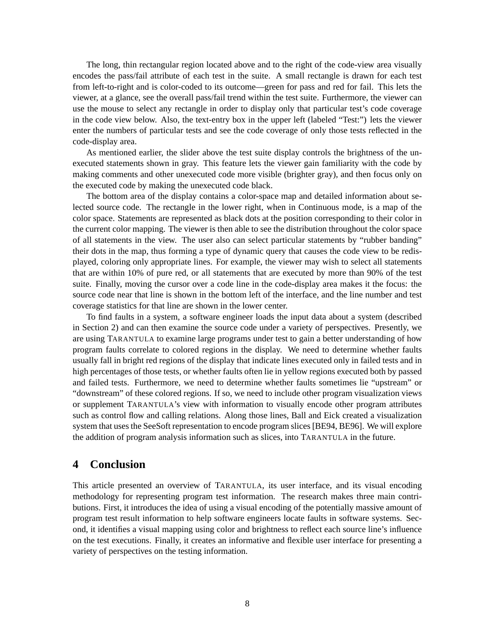The long, thin rectangular region located above and to the right of the code-view area visually encodes the pass/fail attribute of each test in the suite. A small rectangle is drawn for each test from left-to-right and is color-coded to its outcome—green for pass and red for fail. This lets the viewer, at a glance, see the overall pass/fail trend within the test suite. Furthermore, the viewer can use the mouse to select any rectangle in order to display only that particular test's code coverage in the code view below. Also, the text-entry box in the upper left (labeled "Test:") lets the viewer enter the numbers of particular tests and see the code coverage of only those tests reflected in the code-display area.

As mentioned earlier, the slider above the test suite display controls the brightness of the unexecuted statements shown in gray. This feature lets the viewer gain familiarity with the code by making comments and other unexecuted code more visible (brighter gray), and then focus only on the executed code by making the unexecuted code black.

The bottom area of the display contains a color-space map and detailed information about selected source code. The rectangle in the lower right, when in Continuous mode, is a map of the color space. Statements are represented as black dots at the position corresponding to their color in the current color mapping. The viewer is then able to see the distribution throughout the color space of all statements in the view. The user also can select particular statements by "rubber banding" their dots in the map, thus forming a type of dynamic query that causes the code view to be redisplayed, coloring only appropriate lines. For example, the viewer may wish to select all statements that are within 10% of pure red, or all statements that are executed by more than 90% of the test suite. Finally, moving the cursor over a code line in the code-display area makes it the focus: the source code near that line is shown in the bottom left of the interface, and the line number and test coverage statistics for that line are shown in the lower center.

To find faults in a system, a software engineer loads the input data about a system (described in Section 2) and can then examine the source code under a variety of perspectives. Presently, we are using TARANTULA to examine large programs under test to gain a better understanding of how program faults correlate to colored regions in the display. We need to determine whether faults usually fall in bright red regions of the display that indicate lines executed only in failed tests and in high percentages of those tests, or whether faults often lie in yellow regions executed both by passed and failed tests. Furthermore, we need to determine whether faults sometimes lie "upstream" or "downstream" of these colored regions. If so, we need to include other program visualization views or supplement TARANTULA's view with information to visually encode other program attributes such as control flow and calling relations. Along those lines, Ball and Eick created a visualization system that uses the SeeSoft representation to encode program slices [BE94, BE96]. We will explore the addition of program analysis information such as slices, into TARANTULA in the future.

## **4 Conclusion**

This article presented an overview of TARANTULA, its user interface, and its visual encoding methodology for representing program test information. The research makes three main contributions. First, it introduces the idea of using a visual encoding of the potentially massive amount of program test result information to help software engineers locate faults in software systems. Second, it identifies a visual mapping using color and brightness to reflect each source line's influence on the test executions. Finally, it creates an informative and flexible user interface for presenting a variety of perspectives on the testing information.